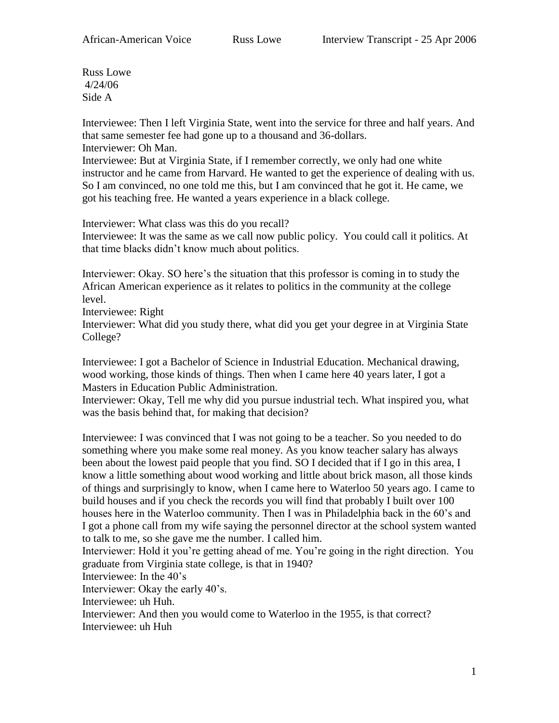Russ Lowe 4/24/06 Side A

Interviewee: Then I left Virginia State, went into the service for three and half years. And that same semester fee had gone up to a thousand and 36-dollars. Interviewer: Oh Man.

Interviewee: But at Virginia State, if I remember correctly, we only had one white instructor and he came from Harvard. He wanted to get the experience of dealing with us. So I am convinced, no one told me this, but I am convinced that he got it. He came, we got his teaching free. He wanted a years experience in a black college.

Interviewer: What class was this do you recall? Interviewee: It was the same as we call now public policy. You could call it politics. At that time blacks didn't know much about politics.

Interviewer: Okay. SO here's the situation that this professor is coming in to study the African American experience as it relates to politics in the community at the college level.

Interviewee: Right

Interviewer: What did you study there, what did you get your degree in at Virginia State College?

Interviewee: I got a Bachelor of Science in Industrial Education. Mechanical drawing, wood working, those kinds of things. Then when I came here 40 years later, I got a Masters in Education Public Administration.

Interviewer: Okay, Tell me why did you pursue industrial tech. What inspired you, what was the basis behind that, for making that decision?

Interviewee: I was convinced that I was not going to be a teacher. So you needed to do something where you make some real money. As you know teacher salary has always been about the lowest paid people that you find. SO I decided that if I go in this area, I know a little something about wood working and little about brick mason, all those kinds of things and surprisingly to know, when I came here to Waterloo 50 years ago. I came to build houses and if you check the records you will find that probably I built over 100 houses here in the Waterloo community. Then I was in Philadelphia back in the 60's and I got a phone call from my wife saying the personnel director at the school system wanted to talk to me, so she gave me the number. I called him.

Interviewer: Hold it you're getting ahead of me. You're going in the right direction. You graduate from Virginia state college, is that in 1940?

Interviewee: In the 40's

Interviewer: Okay the early 40's.

Interviewee: uh Huh.

Interviewer: And then you would come to Waterloo in the 1955, is that correct? Interviewee: uh Huh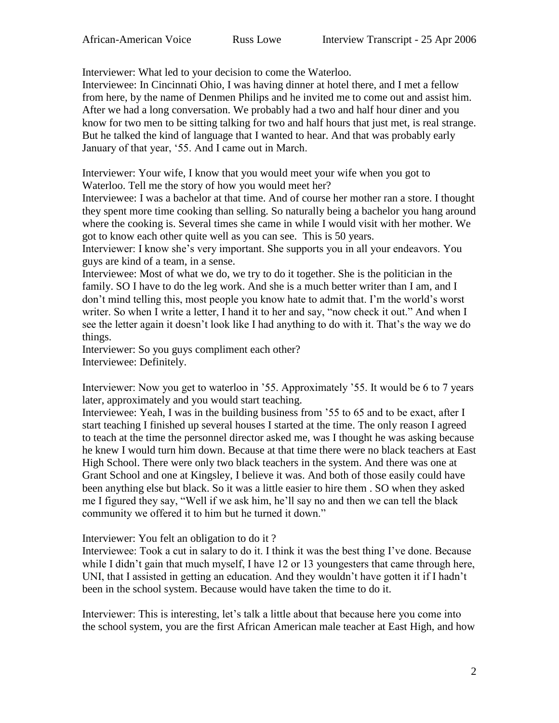Interviewer: What led to your decision to come the Waterloo.

Interviewee: In Cincinnati Ohio, I was having dinner at hotel there, and I met a fellow from here, by the name of Denmen Philips and he invited me to come out and assist him. After we had a long conversation. We probably had a two and half hour diner and you know for two men to be sitting talking for two and half hours that just met, is real strange. But he talked the kind of language that I wanted to hear. And that was probably early January of that year, '55. And I came out in March.

Interviewer: Your wife, I know that you would meet your wife when you got to Waterloo. Tell me the story of how you would meet her?

Interviewee: I was a bachelor at that time. And of course her mother ran a store. I thought they spent more time cooking than selling. So naturally being a bachelor you hang around where the cooking is. Several times she came in while I would visit with her mother. We got to know each other quite well as you can see. This is 50 years.

Interviewer: I know she's very important. She supports you in all your endeavors. You guys are kind of a team, in a sense.

Interviewee: Most of what we do, we try to do it together. She is the politician in the family. SO I have to do the leg work. And she is a much better writer than I am, and I don't mind telling this, most people you know hate to admit that. I'm the world's worst writer. So when I write a letter, I hand it to her and say, "now check it out." And when I see the letter again it doesn't look like I had anything to do with it. That's the way we do things.

Interviewer: So you guys compliment each other? Interviewee: Definitely.

Interviewer: Now you get to waterloo in '55. Approximately '55. It would be 6 to 7 years later, approximately and you would start teaching.

Interviewee: Yeah, I was in the building business from '55 to 65 and to be exact, after I start teaching I finished up several houses I started at the time. The only reason I agreed to teach at the time the personnel director asked me, was I thought he was asking because he knew I would turn him down. Because at that time there were no black teachers at East High School. There were only two black teachers in the system. And there was one at Grant School and one at Kingsley, I believe it was. And both of those easily could have been anything else but black. So it was a little easier to hire them . SO when they asked me I figured they say, "Well if we ask him, he'll say no and then we can tell the black community we offered it to him but he turned it down."

Interviewer: You felt an obligation to do it ?

Interviewee: Took a cut in salary to do it. I think it was the best thing I've done. Because while I didn't gain that much myself, I have 12 or 13 youngesters that came through here, UNI, that I assisted in getting an education. And they wouldn't have gotten it if I hadn't been in the school system. Because would have taken the time to do it.

Interviewer: This is interesting, let's talk a little about that because here you come into the school system, you are the first African American male teacher at East High, and how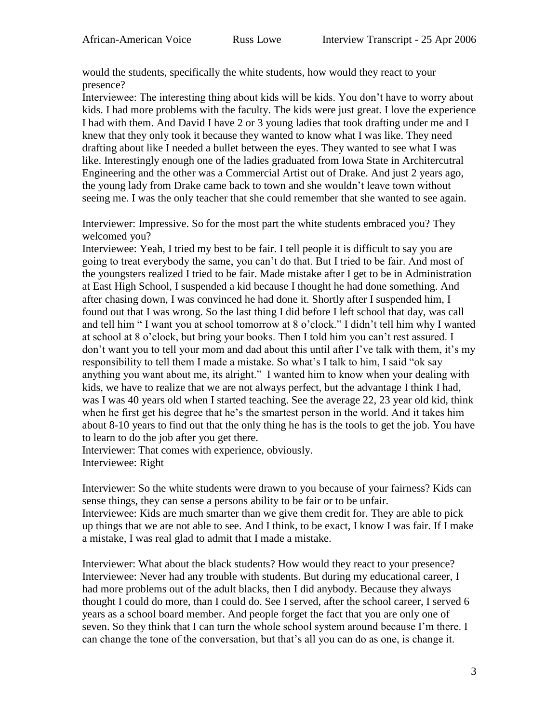would the students, specifically the white students, how would they react to your presence?

Interviewee: The interesting thing about kids will be kids. You don't have to worry about kids. I had more problems with the faculty. The kids were just great. I love the experience I had with them. And David I have 2 or 3 young ladies that took drafting under me and I knew that they only took it because they wanted to know what I was like. They need drafting about like I needed a bullet between the eyes. They wanted to see what I was like. Interestingly enough one of the ladies graduated from Iowa State in Architercutral Engineering and the other was a Commercial Artist out of Drake. And just 2 years ago, the young lady from Drake came back to town and she wouldn't leave town without seeing me. I was the only teacher that she could remember that she wanted to see again.

Interviewer: Impressive. So for the most part the white students embraced you? They welcomed you?

Interviewee: Yeah, I tried my best to be fair. I tell people it is difficult to say you are going to treat everybody the same, you can't do that. But I tried to be fair. And most of the youngsters realized I tried to be fair. Made mistake after I get to be in Administration at East High School, I suspended a kid because I thought he had done something. And after chasing down, I was convinced he had done it. Shortly after I suspended him, I found out that I was wrong. So the last thing I did before I left school that day, was call and tell him " I want you at school tomorrow at 8 o'clock." I didn't tell him why I wanted at school at 8 o'clock, but bring your books. Then I told him you can't rest assured. I don't want you to tell your mom and dad about this until after I've talk with them, it's my responsibility to tell them I made a mistake. So what's I talk to him, I said "ok say anything you want about me, its alright." I wanted him to know when your dealing with kids, we have to realize that we are not always perfect, but the advantage I think I had, was I was 40 years old when I started teaching. See the average 22, 23 year old kid, think when he first get his degree that he's the smartest person in the world. And it takes him about 8-10 years to find out that the only thing he has is the tools to get the job. You have to learn to do the job after you get there.

Interviewer: That comes with experience, obviously. Interviewee: Right

Interviewer: So the white students were drawn to you because of your fairness? Kids can sense things, they can sense a persons ability to be fair or to be unfair. Interviewee: Kids are much smarter than we give them credit for. They are able to pick up things that we are not able to see. And I think, to be exact, I know I was fair. If I make a mistake, I was real glad to admit that I made a mistake.

Interviewer: What about the black students? How would they react to your presence? Interviewee: Never had any trouble with students. But during my educational career, I had more problems out of the adult blacks, then I did anybody. Because they always thought I could do more, than I could do. See I served, after the school career, I served 6 years as a school board member. And people forget the fact that you are only one of seven. So they think that I can turn the whole school system around because I'm there. I can change the tone of the conversation, but that's all you can do as one, is change it.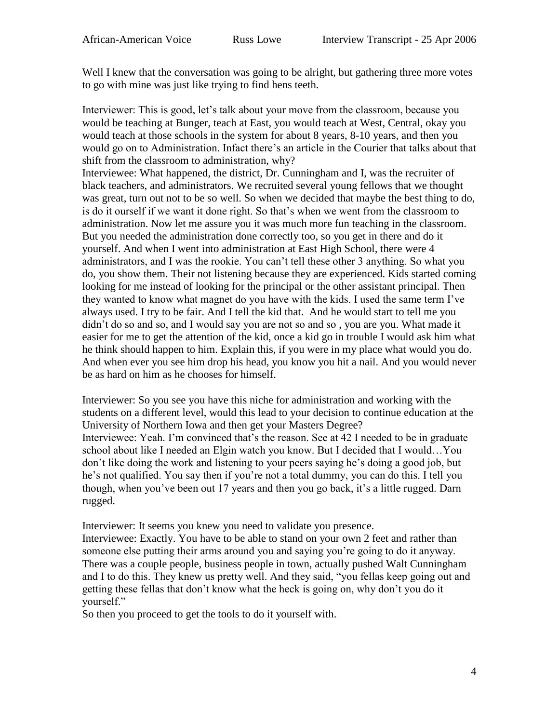Well I knew that the conversation was going to be alright, but gathering three more votes to go with mine was just like trying to find hens teeth.

Interviewer: This is good, let's talk about your move from the classroom, because you would be teaching at Bunger, teach at East, you would teach at West, Central, okay you would teach at those schools in the system for about 8 years, 8-10 years, and then you would go on to Administration. Infact there's an article in the Courier that talks about that shift from the classroom to administration, why?

Interviewee: What happened, the district, Dr. Cunningham and I, was the recruiter of black teachers, and administrators. We recruited several young fellows that we thought was great, turn out not to be so well. So when we decided that maybe the best thing to do, is do it ourself if we want it done right. So that's when we went from the classroom to administration. Now let me assure you it was much more fun teaching in the classroom. But you needed the administration done correctly too, so you get in there and do it yourself. And when I went into administration at East High School, there were 4 administrators, and I was the rookie. You can't tell these other 3 anything. So what you do, you show them. Their not listening because they are experienced. Kids started coming looking for me instead of looking for the principal or the other assistant principal. Then they wanted to know what magnet do you have with the kids. I used the same term I've always used. I try to be fair. And I tell the kid that. And he would start to tell me you didn't do so and so, and I would say you are not so and so , you are you. What made it easier for me to get the attention of the kid, once a kid go in trouble I would ask him what he think should happen to him. Explain this, if you were in my place what would you do. And when ever you see him drop his head, you know you hit a nail. And you would never be as hard on him as he chooses for himself.

Interviewer: So you see you have this niche for administration and working with the students on a different level, would this lead to your decision to continue education at the University of Northern Iowa and then get your Masters Degree? Interviewee: Yeah. I'm convinced that's the reason. See at 42 I needed to be in graduate school about like I needed an Elgin watch you know. But I decided that I would…You don't like doing the work and listening to your peers saying he's doing a good job, but he's not qualified. You say then if you're not a total dummy, you can do this. I tell you though, when you've been out 17 years and then you go back, it's a little rugged. Darn rugged.

Interviewer: It seems you knew you need to validate you presence.

Interviewee: Exactly. You have to be able to stand on your own 2 feet and rather than someone else putting their arms around you and saying you're going to do it anyway. There was a couple people, business people in town, actually pushed Walt Cunningham and I to do this. They knew us pretty well. And they said, "you fellas keep going out and getting these fellas that don't know what the heck is going on, why don't you do it yourself."

So then you proceed to get the tools to do it yourself with.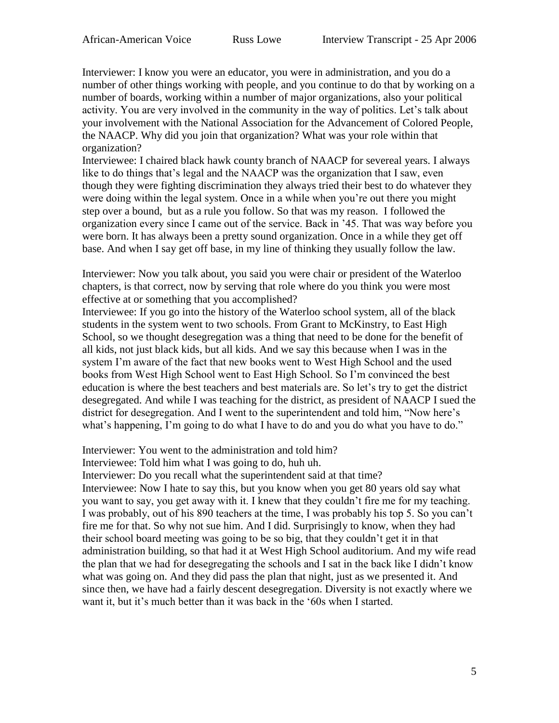Interviewer: I know you were an educator, you were in administration, and you do a number of other things working with people, and you continue to do that by working on a number of boards, working within a number of major organizations, also your political activity. You are very involved in the community in the way of politics. Let's talk about your involvement with the National Association for the Advancement of Colored People, the NAACP. Why did you join that organization? What was your role within that organization?

Interviewee: I chaired black hawk county branch of NAACP for severeal years. I always like to do things that's legal and the NAACP was the organization that I saw, even though they were fighting discrimination they always tried their best to do whatever they were doing within the legal system. Once in a while when you're out there you might step over a bound, but as a rule you follow. So that was my reason. I followed the organization every since I came out of the service. Back in '45. That was way before you were born. It has always been a pretty sound organization. Once in a while they get off base. And when I say get off base, in my line of thinking they usually follow the law.

Interviewer: Now you talk about, you said you were chair or president of the Waterloo chapters, is that correct, now by serving that role where do you think you were most effective at or something that you accomplished?

Interviewee: If you go into the history of the Waterloo school system, all of the black students in the system went to two schools. From Grant to McKinstry, to East High School, so we thought desegregation was a thing that need to be done for the benefit of all kids, not just black kids, but all kids. And we say this because when I was in the system I'm aware of the fact that new books went to West High School and the used books from West High School went to East High School. So I'm convinced the best education is where the best teachers and best materials are. So let's try to get the district desegregated. And while I was teaching for the district, as president of NAACP I sued the district for desegregation. And I went to the superintendent and told him, "Now here's what's happening, I'm going to do what I have to do and you do what you have to do."

Interviewer: You went to the administration and told him?

Interviewee: Told him what I was going to do, huh uh.

Interviewer: Do you recall what the superintendent said at that time?

Interviewee: Now I hate to say this, but you know when you get 80 years old say what you want to say, you get away with it. I knew that they couldn't fire me for my teaching. I was probably, out of his 890 teachers at the time, I was probably his top 5. So you can't fire me for that. So why not sue him. And I did. Surprisingly to know, when they had their school board meeting was going to be so big, that they couldn't get it in that administration building, so that had it at West High School auditorium. And my wife read the plan that we had for desegregating the schools and I sat in the back like I didn't know what was going on. And they did pass the plan that night, just as we presented it. And since then, we have had a fairly descent desegregation. Diversity is not exactly where we want it, but it's much better than it was back in the '60s when I started.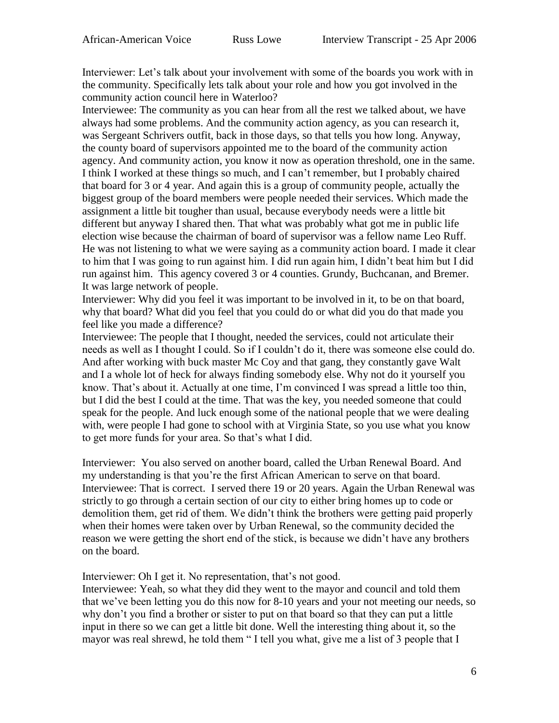Interviewer: Let's talk about your involvement with some of the boards you work with in the community. Specifically lets talk about your role and how you got involved in the community action council here in Waterloo?

Interviewee: The community as you can hear from all the rest we talked about, we have always had some problems. And the community action agency, as you can research it, was Sergeant Schrivers outfit, back in those days, so that tells you how long. Anyway, the county board of supervisors appointed me to the board of the community action agency. And community action, you know it now as operation threshold, one in the same. I think I worked at these things so much, and I can't remember, but I probably chaired that board for 3 or 4 year. And again this is a group of community people, actually the biggest group of the board members were people needed their services. Which made the assignment a little bit tougher than usual, because everybody needs were a little bit different but anyway I shared then. That what was probably what got me in public life election wise because the chairman of board of supervisor was a fellow name Leo Ruff. He was not listening to what we were saying as a community action board. I made it clear to him that I was going to run against him. I did run again him, I didn't beat him but I did run against him. This agency covered 3 or 4 counties. Grundy, Buchcanan, and Bremer. It was large network of people.

Interviewer: Why did you feel it was important to be involved in it, to be on that board, why that board? What did you feel that you could do or what did you do that made you feel like you made a difference?

Interviewee: The people that I thought, needed the services, could not articulate their needs as well as I thought I could. So if I couldn't do it, there was someone else could do. And after working with buck master Mc Coy and that gang, they constantly gave Walt and I a whole lot of heck for always finding somebody else. Why not do it yourself you know. That's about it. Actually at one time, I'm convinced I was spread a little too thin, but I did the best I could at the time. That was the key, you needed someone that could speak for the people. And luck enough some of the national people that we were dealing with, were people I had gone to school with at Virginia State, so you use what you know to get more funds for your area. So that's what I did.

Interviewer: You also served on another board, called the Urban Renewal Board. And my understanding is that you're the first African American to serve on that board. Interviewee: That is correct. I served there 19 or 20 years. Again the Urban Renewal was strictly to go through a certain section of our city to either bring homes up to code or demolition them, get rid of them. We didn't think the brothers were getting paid properly when their homes were taken over by Urban Renewal, so the community decided the reason we were getting the short end of the stick, is because we didn't have any brothers on the board.

Interviewer: Oh I get it. No representation, that's not good.

Interviewee: Yeah, so what they did they went to the mayor and council and told them that we've been letting you do this now for 8-10 years and your not meeting our needs, so why don't you find a brother or sister to put on that board so that they can put a little input in there so we can get a little bit done. Well the interesting thing about it, so the mayor was real shrewd, he told them " I tell you what, give me a list of 3 people that I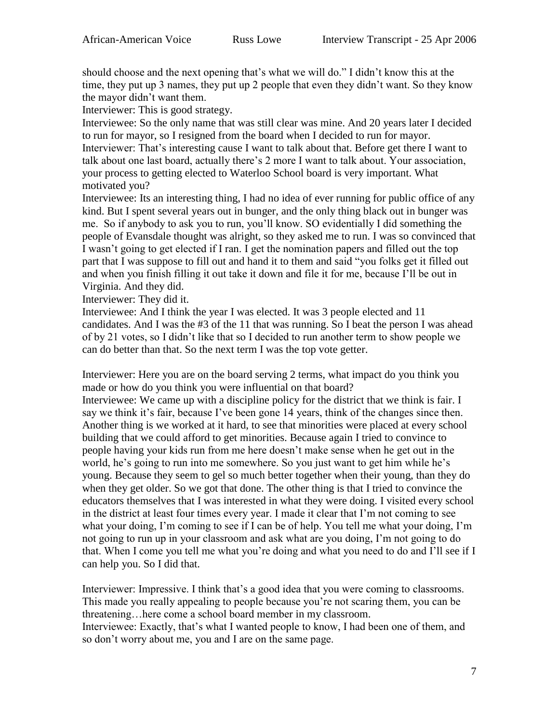should choose and the next opening that's what we will do." I didn't know this at the time, they put up 3 names, they put up 2 people that even they didn't want. So they know the mayor didn't want them.

Interviewer: This is good strategy.

Interviewee: So the only name that was still clear was mine. And 20 years later I decided to run for mayor, so I resigned from the board when I decided to run for mayor. Interviewer: That's interesting cause I want to talk about that. Before get there I want to talk about one last board, actually there's 2 more I want to talk about. Your association, your process to getting elected to Waterloo School board is very important. What motivated you?

Interviewee: Its an interesting thing, I had no idea of ever running for public office of any kind. But I spent several years out in bunger, and the only thing black out in bunger was me. So if anybody to ask you to run, you'll know. SO evidentially I did something the people of Evansdale thought was alright, so they asked me to run. I was so convinced that I wasn't going to get elected if I ran. I get the nomination papers and filled out the top part that I was suppose to fill out and hand it to them and said "you folks get it filled out and when you finish filling it out take it down and file it for me, because I'll be out in Virginia. And they did.

Interviewer: They did it.

Interviewee: And I think the year I was elected. It was 3 people elected and 11 candidates. And I was the #3 of the 11 that was running. So I beat the person I was ahead of by 21 votes, so I didn't like that so I decided to run another term to show people we can do better than that. So the next term I was the top vote getter.

Interviewer: Here you are on the board serving 2 terms, what impact do you think you made or how do you think you were influential on that board?

Interviewee: We came up with a discipline policy for the district that we think is fair. I say we think it's fair, because I've been gone 14 years, think of the changes since then. Another thing is we worked at it hard, to see that minorities were placed at every school building that we could afford to get minorities. Because again I tried to convince to people having your kids run from me here doesn't make sense when he get out in the world, he's going to run into me somewhere. So you just want to get him while he's young. Because they seem to gel so much better together when their young, than they do when they get older. So we got that done. The other thing is that I tried to convince the educators themselves that I was interested in what they were doing. I visited every school in the district at least four times every year. I made it clear that I'm not coming to see what your doing, I'm coming to see if I can be of help. You tell me what your doing, I'm not going to run up in your classroom and ask what are you doing, I'm not going to do that. When I come you tell me what you're doing and what you need to do and I'll see if I can help you. So I did that.

Interviewer: Impressive. I think that's a good idea that you were coming to classrooms. This made you really appealing to people because you're not scaring them, you can be threatening…here come a school board member in my classroom. Interviewee: Exactly, that's what I wanted people to know, I had been one of them, and so don't worry about me, you and I are on the same page.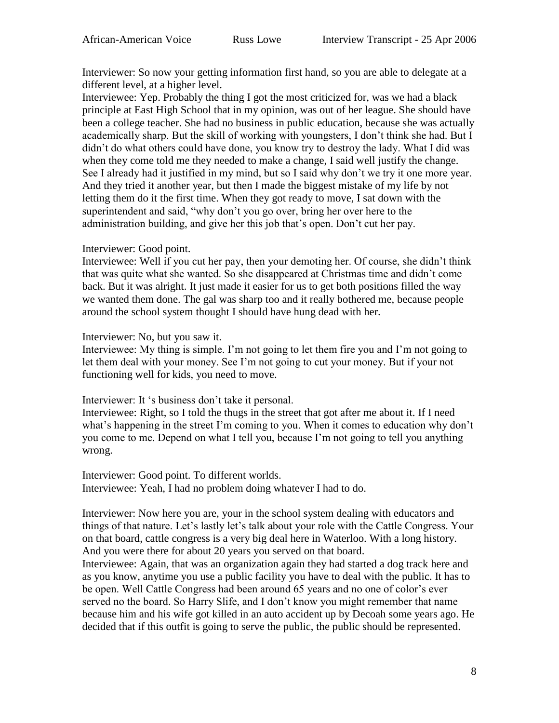Interviewer: So now your getting information first hand, so you are able to delegate at a different level, at a higher level.

Interviewee: Yep. Probably the thing I got the most criticized for, was we had a black principle at East High School that in my opinion, was out of her league. She should have been a college teacher. She had no business in public education, because she was actually academically sharp. But the skill of working with youngsters, I don't think she had. But I didn't do what others could have done, you know try to destroy the lady. What I did was when they come told me they needed to make a change, I said well justify the change. See I already had it justified in my mind, but so I said why don't we try it one more year. And they tried it another year, but then I made the biggest mistake of my life by not letting them do it the first time. When they got ready to move, I sat down with the superintendent and said, "why don't you go over, bring her over here to the administration building, and give her this job that's open. Don't cut her pay.

## Interviewer: Good point.

Interviewee: Well if you cut her pay, then your demoting her. Of course, she didn't think that was quite what she wanted. So she disappeared at Christmas time and didn't come back. But it was alright. It just made it easier for us to get both positions filled the way we wanted them done. The gal was sharp too and it really bothered me, because people around the school system thought I should have hung dead with her.

## Interviewer: No, but you saw it.

Interviewee: My thing is simple. I'm not going to let them fire you and I'm not going to let them deal with your money. See I'm not going to cut your money. But if your not functioning well for kids, you need to move.

Interviewer: It 's business don't take it personal.

Interviewee: Right, so I told the thugs in the street that got after me about it. If I need what's happening in the street I'm coming to you. When it comes to education why don't you come to me. Depend on what I tell you, because I'm not going to tell you anything wrong.

Interviewer: Good point. To different worlds. Interviewee: Yeah, I had no problem doing whatever I had to do.

Interviewer: Now here you are, your in the school system dealing with educators and things of that nature. Let's lastly let's talk about your role with the Cattle Congress. Your on that board, cattle congress is a very big deal here in Waterloo. With a long history. And you were there for about 20 years you served on that board.

Interviewee: Again, that was an organization again they had started a dog track here and as you know, anytime you use a public facility you have to deal with the public. It has to be open. Well Cattle Congress had been around 65 years and no one of color's ever served no the board. So Harry Slife, and I don't know you might remember that name because him and his wife got killed in an auto accident up by Decoah some years ago. He decided that if this outfit is going to serve the public, the public should be represented.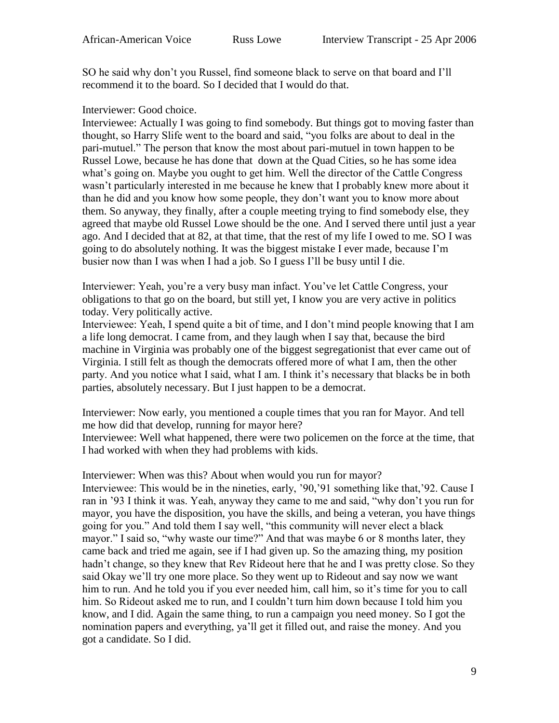SO he said why don't you Russel, find someone black to serve on that board and I'll recommend it to the board. So I decided that I would do that.

## Interviewer: Good choice.

Interviewee: Actually I was going to find somebody. But things got to moving faster than thought, so Harry Slife went to the board and said, "you folks are about to deal in the pari-mutuel." The person that know the most about pari-mutuel in town happen to be Russel Lowe, because he has done that down at the Quad Cities, so he has some idea what's going on. Maybe you ought to get him. Well the director of the Cattle Congress wasn't particularly interested in me because he knew that I probably knew more about it than he did and you know how some people, they don't want you to know more about them. So anyway, they finally, after a couple meeting trying to find somebody else, they agreed that maybe old Russel Lowe should be the one. And I served there until just a year ago. And I decided that at 82, at that time, that the rest of my life I owed to me. SO I was going to do absolutely nothing. It was the biggest mistake I ever made, because I'm busier now than I was when I had a job. So I guess I'll be busy until I die.

Interviewer: Yeah, you're a very busy man infact. You've let Cattle Congress, your obligations to that go on the board, but still yet, I know you are very active in politics today. Very politically active.

Interviewee: Yeah, I spend quite a bit of time, and I don't mind people knowing that I am a life long democrat. I came from, and they laugh when I say that, because the bird machine in Virginia was probably one of the biggest segregationist that ever came out of Virginia. I still felt as though the democrats offered more of what I am, then the other party. And you notice what I said, what I am. I think it's necessary that blacks be in both parties, absolutely necessary. But I just happen to be a democrat.

Interviewer: Now early, you mentioned a couple times that you ran for Mayor. And tell me how did that develop, running for mayor here?

Interviewee: Well what happened, there were two policemen on the force at the time, that I had worked with when they had problems with kids.

Interviewer: When was this? About when would you run for mayor? Interviewee: This would be in the nineties, early, '90,'91 something like that,'92. Cause I ran in '93 I think it was. Yeah, anyway they came to me and said, "why don't you run for mayor, you have the disposition, you have the skills, and being a veteran, you have things going for you." And told them I say well, "this community will never elect a black mayor." I said so, "why waste our time?" And that was maybe 6 or 8 months later, they came back and tried me again, see if I had given up. So the amazing thing, my position hadn't change, so they knew that Rev Rideout here that he and I was pretty close. So they said Okay we'll try one more place. So they went up to Rideout and say now we want him to run. And he told you if you ever needed him, call him, so it's time for you to call him. So Rideout asked me to run, and I couldn't turn him down because I told him you know, and I did. Again the same thing, to run a campaign you need money. So I got the nomination papers and everything, ya'll get it filled out, and raise the money. And you got a candidate. So I did.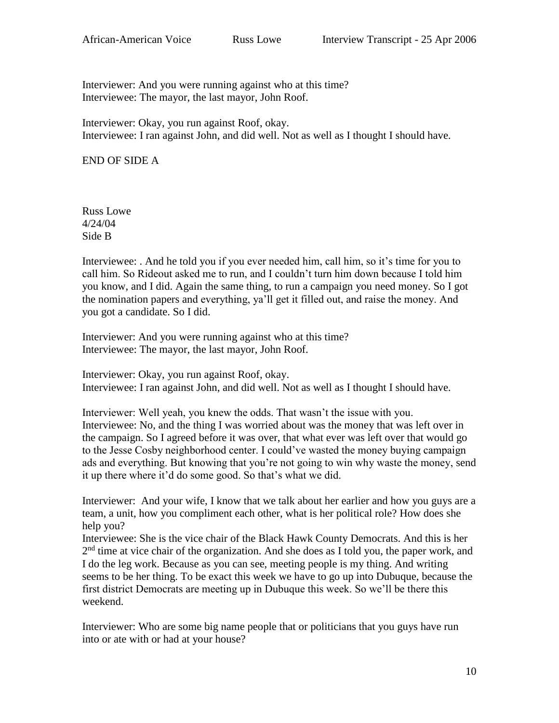Interviewer: And you were running against who at this time? Interviewee: The mayor, the last mayor, John Roof.

Interviewer: Okay, you run against Roof, okay. Interviewee: I ran against John, and did well. Not as well as I thought I should have.

END OF SIDE A

Russ Lowe 4/24/04 Side B

Interviewee: . And he told you if you ever needed him, call him, so it's time for you to call him. So Rideout asked me to run, and I couldn't turn him down because I told him you know, and I did. Again the same thing, to run a campaign you need money. So I got the nomination papers and everything, ya'll get it filled out, and raise the money. And you got a candidate. So I did.

Interviewer: And you were running against who at this time? Interviewee: The mayor, the last mayor, John Roof.

Interviewer: Okay, you run against Roof, okay. Interviewee: I ran against John, and did well. Not as well as I thought I should have.

Interviewer: Well yeah, you knew the odds. That wasn't the issue with you. Interviewee: No, and the thing I was worried about was the money that was left over in the campaign. So I agreed before it was over, that what ever was left over that would go to the Jesse Cosby neighborhood center. I could've wasted the money buying campaign ads and everything. But knowing that you're not going to win why waste the money, send it up there where it'd do some good. So that's what we did.

Interviewer: And your wife, I know that we talk about her earlier and how you guys are a team, a unit, how you compliment each other, what is her political role? How does she help you?

Interviewee: She is the vice chair of the Black Hawk County Democrats. And this is her 2<sup>nd</sup> time at vice chair of the organization. And she does as I told you, the paper work, and I do the leg work. Because as you can see, meeting people is my thing. And writing seems to be her thing. To be exact this week we have to go up into Dubuque, because the first district Democrats are meeting up in Dubuque this week. So we'll be there this weekend.

Interviewer: Who are some big name people that or politicians that you guys have run into or ate with or had at your house?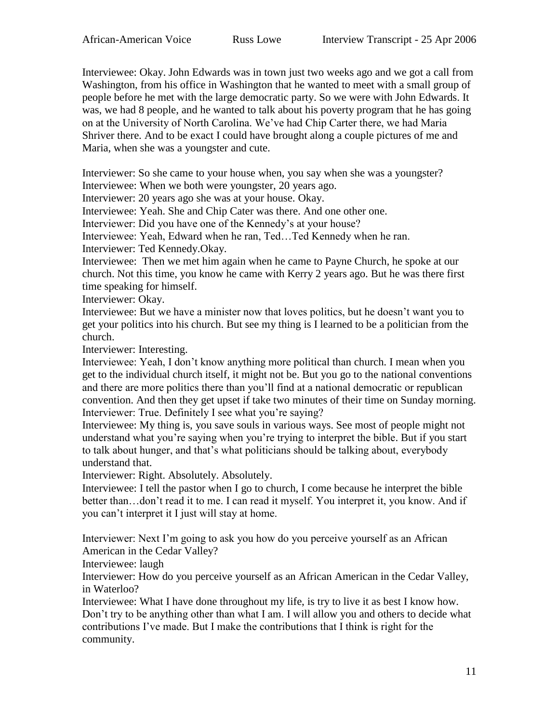Interviewee: Okay. John Edwards was in town just two weeks ago and we got a call from Washington, from his office in Washington that he wanted to meet with a small group of people before he met with the large democratic party. So we were with John Edwards. It was, we had 8 people, and he wanted to talk about his poverty program that he has going on at the University of North Carolina. We've had Chip Carter there, we had Maria Shriver there. And to be exact I could have brought along a couple pictures of me and Maria, when she was a youngster and cute.

Interviewer: So she came to your house when, you say when she was a youngster?

Interviewee: When we both were youngster, 20 years ago.

Interviewer: 20 years ago she was at your house. Okay.

Interviewee: Yeah. She and Chip Cater was there. And one other one.

Interviewer: Did you have one of the Kennedy's at your house?

Interviewee: Yeah, Edward when he ran, Ted…Ted Kennedy when he ran.

Interviewer: Ted Kennedy.Okay.

Interviewee: Then we met him again when he came to Payne Church, he spoke at our church. Not this time, you know he came with Kerry 2 years ago. But he was there first time speaking for himself.

Interviewer: Okay.

Interviewee: But we have a minister now that loves politics, but he doesn't want you to get your politics into his church. But see my thing is I learned to be a politician from the church.

Interviewer: Interesting.

Interviewee: Yeah, I don't know anything more political than church. I mean when you get to the individual church itself, it might not be. But you go to the national conventions and there are more politics there than you'll find at a national democratic or republican convention. And then they get upset if take two minutes of their time on Sunday morning. Interviewer: True. Definitely I see what you're saying?

Interviewee: My thing is, you save souls in various ways. See most of people might not understand what you're saying when you're trying to interpret the bible. But if you start to talk about hunger, and that's what politicians should be talking about, everybody understand that.

Interviewer: Right. Absolutely. Absolutely.

Interviewee: I tell the pastor when I go to church, I come because he interpret the bible better than…don't read it to me. I can read it myself. You interpret it, you know. And if you can't interpret it I just will stay at home.

Interviewer: Next I'm going to ask you how do you perceive yourself as an African American in the Cedar Valley?

Interviewee: laugh

Interviewer: How do you perceive yourself as an African American in the Cedar Valley, in Waterloo?

Interviewee: What I have done throughout my life, is try to live it as best I know how. Don't try to be anything other than what I am. I will allow you and others to decide what contributions I've made. But I make the contributions that I think is right for the community.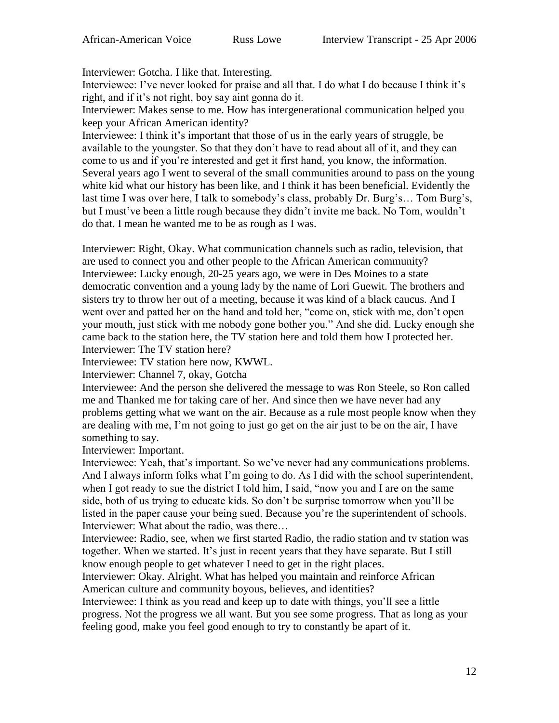Interviewer: Gotcha. I like that. Interesting.

Interviewee: I've never looked for praise and all that. I do what I do because I think it's right, and if it's not right, boy say aint gonna do it.

Interviewer: Makes sense to me. How has intergenerational communication helped you keep your African American identity?

Interviewee: I think it's important that those of us in the early years of struggle, be available to the youngster. So that they don't have to read about all of it, and they can come to us and if you're interested and get it first hand, you know, the information. Several years ago I went to several of the small communities around to pass on the young white kid what our history has been like, and I think it has been beneficial. Evidently the last time I was over here, I talk to somebody's class, probably Dr. Burg's… Tom Burg's, but I must've been a little rough because they didn't invite me back. No Tom, wouldn't do that. I mean he wanted me to be as rough as I was.

Interviewer: Right, Okay. What communication channels such as radio, television, that are used to connect you and other people to the African American community? Interviewee: Lucky enough, 20-25 years ago, we were in Des Moines to a state democratic convention and a young lady by the name of Lori Guewit. The brothers and sisters try to throw her out of a meeting, because it was kind of a black caucus. And I went over and patted her on the hand and told her, "come on, stick with me, don't open your mouth, just stick with me nobody gone bother you." And she did. Lucky enough she came back to the station here, the TV station here and told them how I protected her. Interviewer: The TV station here?

Interviewee: TV station here now, KWWL.

Interviewer: Channel 7, okay, Gotcha

Interviewee: And the person she delivered the message to was Ron Steele, so Ron called me and Thanked me for taking care of her. And since then we have never had any problems getting what we want on the air. Because as a rule most people know when they are dealing with me, I'm not going to just go get on the air just to be on the air, I have something to say.

Interviewer: Important.

Interviewee: Yeah, that's important. So we've never had any communications problems. And I always inform folks what I'm going to do. As I did with the school superintendent, when I got ready to sue the district I told him, I said, "now you and I are on the same side, both of us trying to educate kids. So don't be surprise tomorrow when you'll be listed in the paper cause your being sued. Because you're the superintendent of schools. Interviewer: What about the radio, was there…

Interviewee: Radio, see, when we first started Radio, the radio station and tv station was together. When we started. It's just in recent years that they have separate. But I still know enough people to get whatever I need to get in the right places.

Interviewer: Okay. Alright. What has helped you maintain and reinforce African American culture and community boyous, believes, and identities?

Interviewee: I think as you read and keep up to date with things, you'll see a little progress. Not the progress we all want. But you see some progress. That as long as your feeling good, make you feel good enough to try to constantly be apart of it.